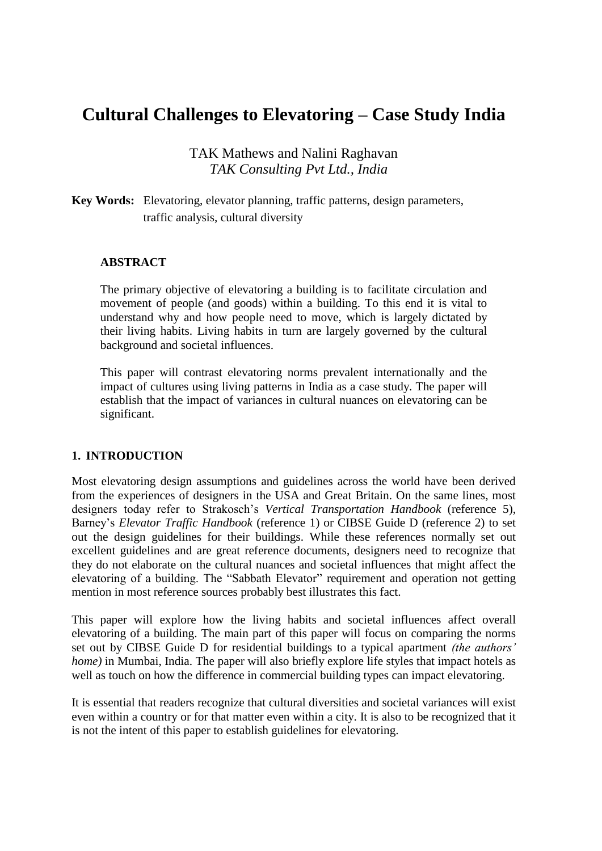# **Cultural Challenges to Elevatoring – Case Study India**

TAK Mathews and Nalini Raghavan *TAK Consulting Pvt Ltd., India*

# **Key Words:** Elevatoring, elevator planning, traffic patterns, design parameters, traffic analysis, cultural diversity

### **ABSTRACT**

The primary objective of elevatoring a building is to facilitate circulation and movement of people (and goods) within a building. To this end it is vital to understand why and how people need to move, which is largely dictated by their living habits. Living habits in turn are largely governed by the cultural background and societal influences.

This paper will contrast elevatoring norms prevalent internationally and the impact of cultures using living patterns in India as a case study. The paper will establish that the impact of variances in cultural nuances on elevatoring can be significant.

### **1. INTRODUCTION**

Most elevatoring design assumptions and guidelines across the world have been derived from the experiences of designers in the USA and Great Britain. On the same lines, most designers today refer to Strakosch's *Vertical Transportation Handbook* (reference 5), Barney's *Elevator Traffic Handbook* (reference 1) or CIBSE Guide D (reference 2) to set out the design guidelines for their buildings. While these references normally set out excellent guidelines and are great reference documents, designers need to recognize that they do not elaborate on the cultural nuances and societal influences that might affect the elevatoring of a building. The "Sabbath Elevator" requirement and operation not getting mention in most reference sources probably best illustrates this fact.

This paper will explore how the living habits and societal influences affect overall elevatoring of a building. The main part of this paper will focus on comparing the norms set out by CIBSE Guide D for residential buildings to a typical apartment *(the authors' home*) in Mumbai, India. The paper will also briefly explore life styles that impact hotels as well as touch on how the difference in commercial building types can impact elevatoring.

It is essential that readers recognize that cultural diversities and societal variances will exist even within a country or for that matter even within a city. It is also to be recognized that it is not the intent of this paper to establish guidelines for elevatoring.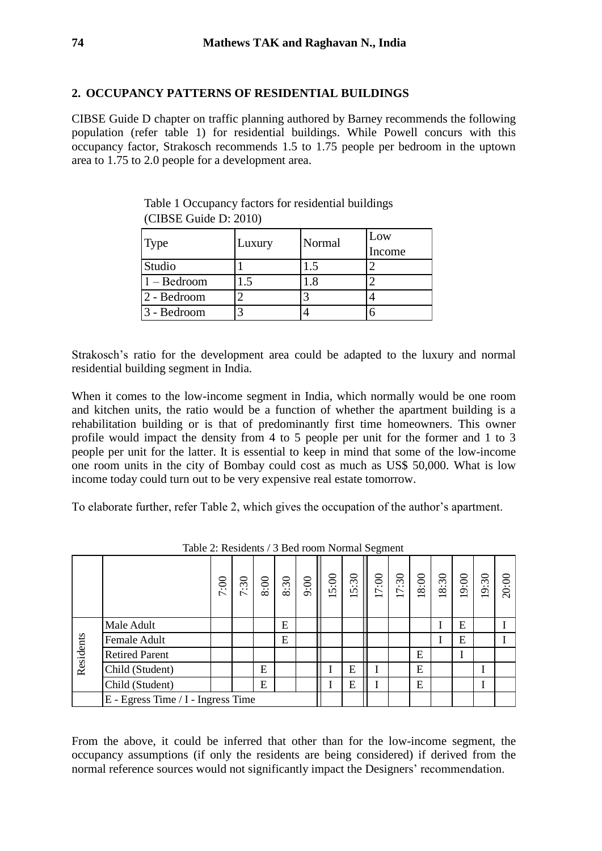### **2. OCCUPANCY PATTERNS OF RESIDENTIAL BUILDINGS**

CIBSE Guide D chapter on traffic planning authored by Barney recommends the following population (refer table 1) for residential buildings. While Powell concurs with this occupancy factor, Strakosch recommends 1.5 to 1.75 people per bedroom in the uptown area to 1.75 to 2.0 people for a development area.

| <b>Type</b>            | Luxury | Normal | Low<br>Income |
|------------------------|--------|--------|---------------|
| Studio                 |        |        |               |
| $1 - Bedroom$          |        | $.8\,$ |               |
| $ 2 - \text{Bedroom} $ |        |        |               |
| 3 - Bedroom            | ◠      |        |               |

Table 1 Occupancy factors for residential buildings (CIBSE Guide D: 2010)

Strakosch's ratio for the development area could be adapted to the luxury and normal residential building segment in India.

When it comes to the low-income segment in India, which normally would be one room and kitchen units, the ratio would be a function of whether the apartment building is a rehabilitation building or is that of predominantly first time homeowners. This owner profile would impact the density from 4 to 5 people per unit for the former and 1 to 3 people per unit for the latter. It is essential to keep in mind that some of the low-income one room units in the city of Bombay could cost as much as US\$ 50,000. What is low income today could turn out to be very expensive real estate tomorrow.

To elaborate further, refer Table 2, which gives the occupation of the author's apartment.

|           |                                    | 7:00 | $\ddot{30}$ | $8:00$ | 8:30 | 9:00 | 15:00 | 5:30<br>$\overline{\phantom{0}}$ | 7:00 | 7:30<br>$\overline{\phantom{0}}$ | $\frac{8.00}{ }$ | 18:30 | 19:00 | 19:30 | 20:00 |
|-----------|------------------------------------|------|-------------|--------|------|------|-------|----------------------------------|------|----------------------------------|------------------|-------|-------|-------|-------|
| Residents | Male Adult                         |      |             |        | E    |      |       |                                  |      |                                  |                  |       | E     |       |       |
|           | Female Adult                       |      |             |        | E    |      |       |                                  |      |                                  |                  |       | E     |       |       |
|           | <b>Retired Parent</b>              |      |             |        |      |      |       |                                  |      |                                  | E                |       |       |       |       |
|           | Child (Student)                    |      |             | E      |      |      |       | E                                |      |                                  | E                |       |       |       |       |
|           | Child (Student)                    |      |             | E      |      |      |       | E                                |      |                                  | E                |       |       |       |       |
|           | E - Egress Time / I - Ingress Time |      |             |        |      |      |       |                                  |      |                                  |                  |       |       |       |       |

Table 2: Residents / 3 Bed room Normal Segment

From the above, it could be inferred that other than for the low-income segment, the occupancy assumptions (if only the residents are being considered) if derived from the normal reference sources would not significantly impact the Designers' recommendation.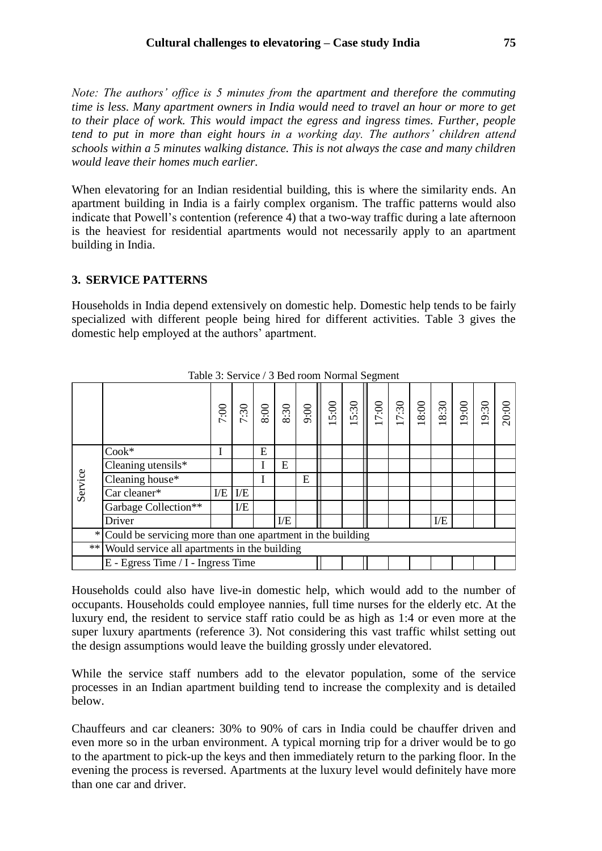*Note: The authors' office is 5 minutes from the apartment and therefore the commuting time is less. Many apartment owners in India would need to travel an hour or more to get to their place of work. This would impact the egress and ingress times. Further, people tend to put in more than eight hours in a working day. The authors' children attend schools within a 5 minutes walking distance. This is not always the case and many children would leave their homes much earlier.*

When elevatoring for an Indian residential building, this is where the similarity ends. An apartment building in India is a fairly complex organism. The traffic patterns would also indicate that Powell's contention (reference 4) that a two-way traffic during a late afternoon is the heaviest for residential apartments would not necessarily apply to an apartment building in India.

# **3. SERVICE PATTERNS**

Households in India depend extensively on domestic help. Domestic help tends to be fairly specialized with different people being hired for different activities. Table 3 gives the domestic help employed at the authors' apartment.

|         |                                                                       | 7:00           |   | $\frac{130}{8}$ |   |   |  |  |  |  |  |  |  | 20:00 |
|---------|-----------------------------------------------------------------------|----------------|---|-----------------|---|---|--|--|--|--|--|--|--|-------|
|         | $Cook*$                                                               |                |   | E               |   |   |  |  |  |  |  |  |  |       |
|         | Cleaning utensils $*$                                                 |                |   |                 | E |   |  |  |  |  |  |  |  |       |
| Service | Cleaning house*                                                       |                |   |                 |   | E |  |  |  |  |  |  |  |       |
|         | Car cleaner*                                                          | $\overline{E}$ | E |                 |   |   |  |  |  |  |  |  |  |       |
|         | Garbage Collection**                                                  |                | E |                 |   |   |  |  |  |  |  |  |  |       |
|         | Driver                                                                | E/E<br>E       |   |                 |   |   |  |  |  |  |  |  |  |       |
|         | $\sqrt{*}$ Could be servicing more than one apartment in the building |                |   |                 |   |   |  |  |  |  |  |  |  |       |
|         | ** Would service all apartments in the building                       |                |   |                 |   |   |  |  |  |  |  |  |  |       |
|         | E - Egress Time / I - Ingress Time                                    |                |   |                 |   |   |  |  |  |  |  |  |  |       |

Table 3: Service / 3 Bed room Normal Segment

Households could also have live-in domestic help, which would add to the number of occupants. Households could employee nannies, full time nurses for the elderly etc. At the luxury end, the resident to service staff ratio could be as high as 1:4 or even more at the super luxury apartments (reference 3). Not considering this vast traffic whilst setting out the design assumptions would leave the building grossly under elevatored.

While the service staff numbers add to the elevator population, some of the service processes in an Indian apartment building tend to increase the complexity and is detailed below.

Chauffeurs and car cleaners: 30% to 90% of cars in India could be chauffer driven and even more so in the urban environment. A typical morning trip for a driver would be to go to the apartment to pick-up the keys and then immediately return to the parking floor. In the evening the process is reversed. Apartments at the luxury level would definitely have more than one car and driver.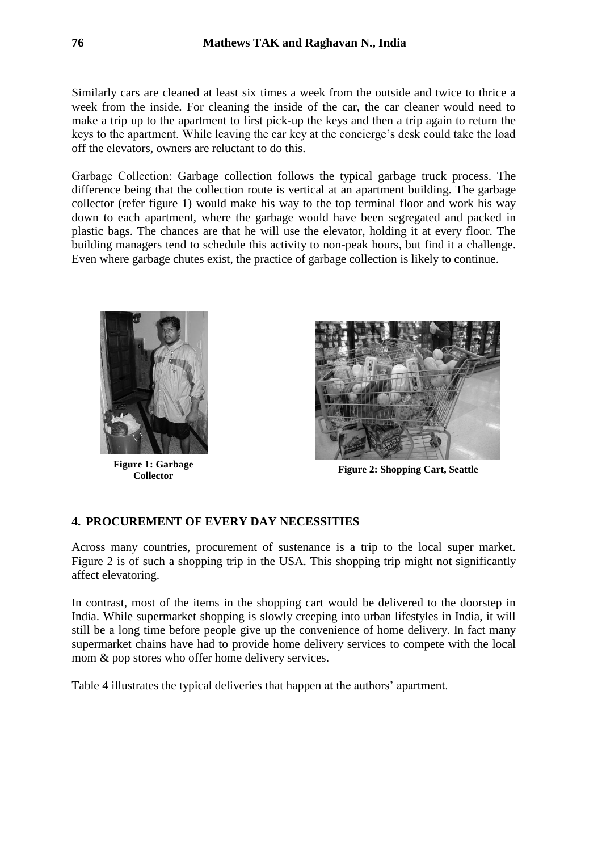Similarly cars are cleaned at least six times a week from the outside and twice to thrice a week from the inside. For cleaning the inside of the car, the car cleaner would need to make a trip up to the apartment to first pick-up the keys and then a trip again to return the keys to the apartment. While leaving the car key at the concierge's desk could take the load off the elevators, owners are reluctant to do this.

Garbage Collection: Garbage collection follows the typical garbage truck process. The difference being that the collection route is vertical at an apartment building. The garbage collector (refer figure 1) would make his way to the top terminal floor and work his way down to each apartment, where the garbage would have been segregated and packed in plastic bags. The chances are that he will use the elevator, holding it at every floor. The building managers tend to schedule this activity to non-peak hours, but find it a challenge. Even where garbage chutes exist, the practice of garbage collection is likely to continue.



**Figure 1: Garbage** 



**Collector Figure 2: Shopping Cart, Seattle**

# **4. PROCUREMENT OF EVERY DAY NECESSITIES**

Across many countries, procurement of sustenance is a trip to the local super market. Figure 2 is of such a shopping trip in the USA. This shopping trip might not significantly affect elevatoring.

In contrast, most of the items in the shopping cart would be delivered to the doorstep in India. While supermarket shopping is slowly creeping into urban lifestyles in India, it will still be a long time before people give up the convenience of home delivery. In fact many supermarket chains have had to provide home delivery services to compete with the local mom & pop stores who offer home delivery services.

Table 4 illustrates the typical deliveries that happen at the authors' apartment.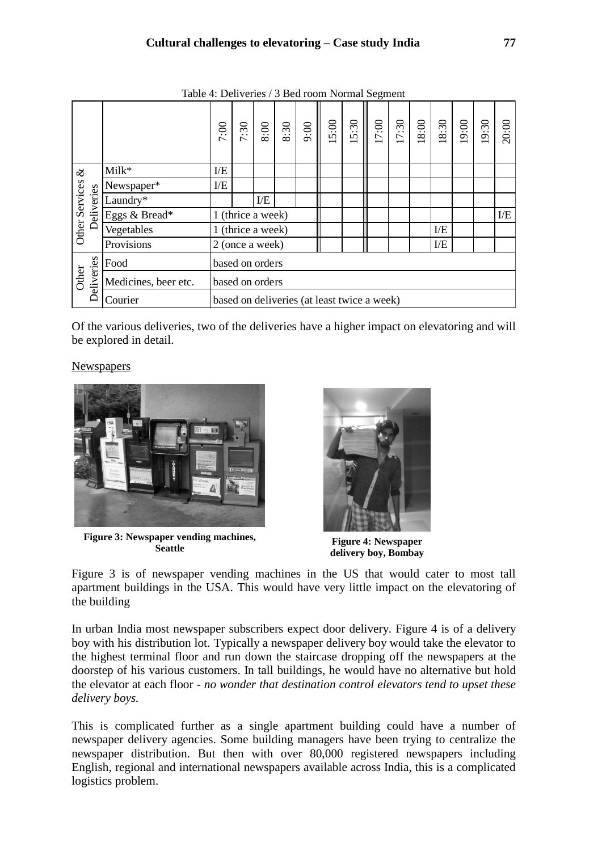|                                          |                      | 7:00                                        | 7:30 | $8:00$            | 8:30 | $\frac{1}{9.00}$ | 15:00 | $\frac{15:30}{15:30}$ | 17:00 | 7:30 | $8:00$ | 18:30 | 19:00 | 19:30 | 20:00 |
|------------------------------------------|----------------------|---------------------------------------------|------|-------------------|------|------------------|-------|-----------------------|-------|------|--------|-------|-------|-------|-------|
| $\infty$<br>Other Services<br>Deliveries | Milk*                | E                                           |      |                   |      |                  |       |                       |       |      |        |       |       |       |       |
|                                          | Newspaper*           | E/E                                         |      |                   |      |                  |       |                       |       |      |        |       |       |       |       |
|                                          | Laundry*             |                                             |      | E                 |      |                  |       |                       |       |      |        |       |       |       |       |
|                                          | Eggs & Bread*        |                                             |      | 1 (thrice a week) |      |                  |       |                       |       |      |        |       |       |       | E     |
|                                          | Vegetables           |                                             |      | 1 (thrice a week) |      |                  |       |                       |       |      |        | E/E   |       |       |       |
|                                          | Provisions           |                                             |      | 2 (once a week)   |      |                  |       |                       |       |      |        | E     |       |       |       |
| Deliveries<br><b>Other</b>               | Food                 |                                             |      | based on orders   |      |                  |       |                       |       |      |        |       |       |       |       |
|                                          | Medicines, beer etc. |                                             |      | based on orders   |      |                  |       |                       |       |      |        |       |       |       |       |
|                                          | Courier              | based on deliveries (at least twice a week) |      |                   |      |                  |       |                       |       |      |        |       |       |       |       |

Table 4: Deliveries / 3 Bed room Normal Segment

Of the various deliveries, two of the deliveries have a higher impact on elevatoring and will be explored in detail.

### **Newspapers**



**Figure 3: Newspaper vending machines,** 



**Figure 4: Newspaper delivery boy, Bombay**

Figure 3 is of newspaper vending machines in the US that would cater to most tall apartment buildings in the USA. This would have very little impact on the elevatoring of the building

In urban India most newspaper subscribers expect door delivery. Figure 4 is of a delivery boy with his distribution lot. Typically a newspaper delivery boy would take the elevator to the highest terminal floor and run down the staircase dropping off the newspapers at the doorstep of his various customers. In tall buildings, he would have no alternative but hold the elevator at each floor *- no wonder that destination control elevators tend to upset these delivery boys.*

This is complicated further as a single apartment building could have a number of newspaper delivery agencies. Some building managers have been trying to centralize the newspaper distribution. But then with over 80,000 registered newspapers including English, regional and international newspapers available across India, this is a complicated logistics problem.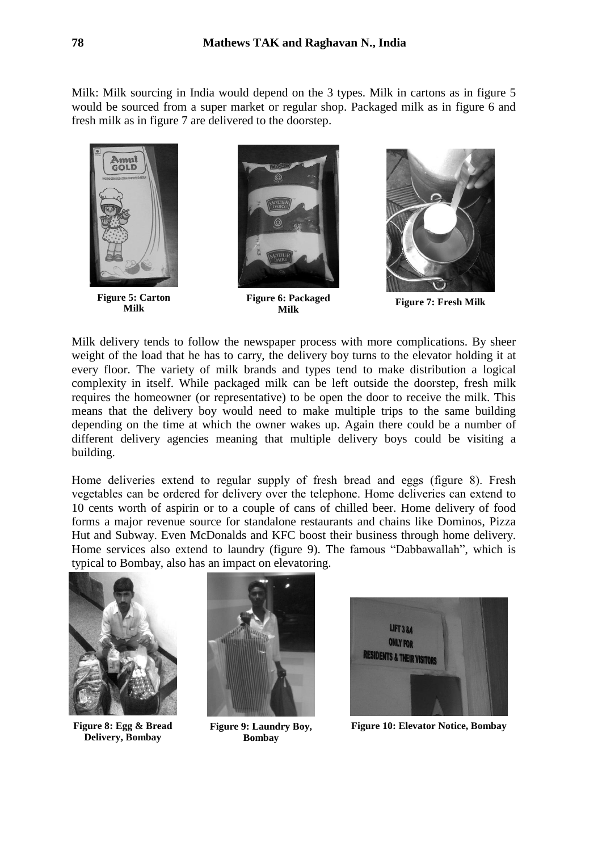Milk: Milk sourcing in India would depend on the 3 types. Milk in cartons as in figure 5 would be sourced from a super market or regular shop. Packaged milk as in figure 6 and fresh milk as in figure 7 are delivered to the doorstep.



**Figure 5: Carton Milk**



**Figure 6: Packaged Milk**



**Figure 7: Fresh Milk**

Milk delivery tends to follow the newspaper process with more complications. By sheer weight of the load that he has to carry, the delivery boy turns to the elevator holding it at every floor. The variety of milk brands and types tend to make distribution a logical complexity in itself. While packaged milk can be left outside the doorstep, fresh milk requires the homeowner (or representative) to be open the door to receive the milk. This means that the delivery boy would need to make multiple trips to the same building depending on the time at which the owner wakes up. Again there could be a number of different delivery agencies meaning that multiple delivery boys could be visiting a building.

Home deliveries extend to regular supply of fresh bread and eggs (figure 8). Fresh vegetables can be ordered for delivery over the telephone. Home deliveries can extend to 10 cents worth of aspirin or to a couple of cans of chilled beer. Home delivery of food forms a major revenue source for standalone restaurants and chains like Dominos, Pizza Hut and Subway. Even McDonalds and KFC boost their business through home delivery. Home services also extend to laundry (figure 9). The famous "Dabbawallah", which is typical to Bombay, also has an impact on elevatoring.



**Figure 8: Egg & Bread Delivery, Bombay**



**Figure 9: Laundry Boy, Bombay**



**Figure 10: Elevator Notice, Bombay**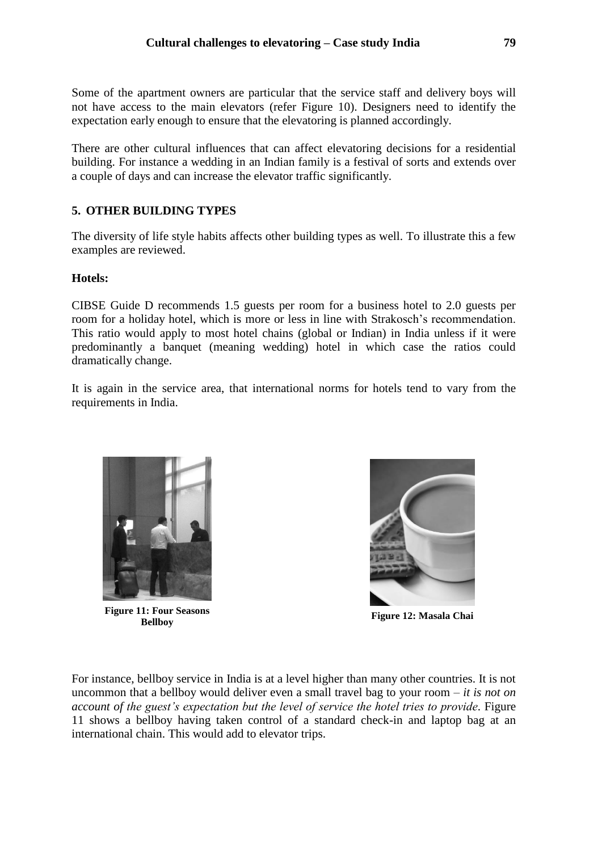Some of the apartment owners are particular that the service staff and delivery boys will not have access to the main elevators (refer Figure 10). Designers need to identify the expectation early enough to ensure that the elevatoring is planned accordingly.

There are other cultural influences that can affect elevatoring decisions for a residential building. For instance a wedding in an Indian family is a festival of sorts and extends over a couple of days and can increase the elevator traffic significantly.

# **5. OTHER BUILDING TYPES**

The diversity of life style habits affects other building types as well. To illustrate this a few examples are reviewed.

### **Hotels:**

CIBSE Guide D recommends 1.5 guests per room for a business hotel to 2.0 guests per room for a holiday hotel, which is more or less in line with Strakosch's recommendation. This ratio would apply to most hotel chains (global or Indian) in India unless if it were predominantly a banquet (meaning wedding) hotel in which case the ratios could dramatically change.

It is again in the service area, that international norms for hotels tend to vary from the requirements in India.



**Figure 11: Four Seasons** 



**Bellboy Figure 12: Masala Chai**

For instance, bellboy service in India is at a level higher than many other countries. It is not uncommon that a bellboy would deliver even a small travel bag to your room *– it is not on account of the guest's expectation but the level of service the hotel tries to provide.* Figure 11 shows a bellboy having taken control of a standard check-in and laptop bag at an international chain. This would add to elevator trips.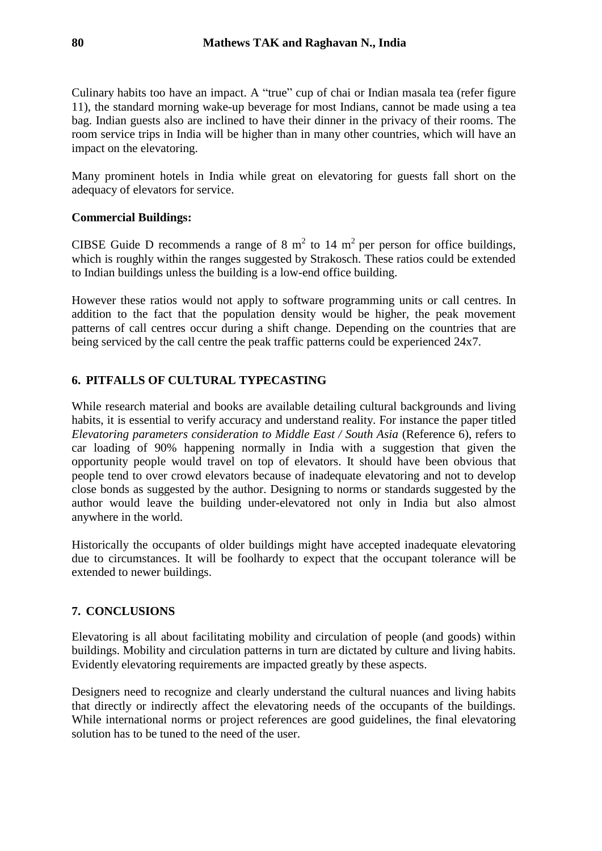Culinary habits too have an impact. A "true" cup of chai or Indian masala tea (refer figure 11), the standard morning wake-up beverage for most Indians, cannot be made using a tea bag. Indian guests also are inclined to have their dinner in the privacy of their rooms. The room service trips in India will be higher than in many other countries, which will have an impact on the elevatoring.

Many prominent hotels in India while great on elevatoring for guests fall short on the adequacy of elevators for service.

### **Commercial Buildings:**

CIBSE Guide D recommends a range of 8  $m<sup>2</sup>$  to 14  $m<sup>2</sup>$  per person for office buildings, which is roughly within the ranges suggested by Strakosch. These ratios could be extended to Indian buildings unless the building is a low-end office building.

However these ratios would not apply to software programming units or call centres. In addition to the fact that the population density would be higher, the peak movement patterns of call centres occur during a shift change. Depending on the countries that are being serviced by the call centre the peak traffic patterns could be experienced 24x7.

# **6. PITFALLS OF CULTURAL TYPECASTING**

While research material and books are available detailing cultural backgrounds and living habits, it is essential to verify accuracy and understand reality. For instance the paper titled *Elevatoring parameters consideration to Middle East / South Asia* (Reference 6), refers to car loading of 90% happening normally in India with a suggestion that given the opportunity people would travel on top of elevators. It should have been obvious that people tend to over crowd elevators because of inadequate elevatoring and not to develop close bonds as suggested by the author. Designing to norms or standards suggested by the author would leave the building under-elevatored not only in India but also almost anywhere in the world.

Historically the occupants of older buildings might have accepted inadequate elevatoring due to circumstances. It will be foolhardy to expect that the occupant tolerance will be extended to newer buildings.

# **7. CONCLUSIONS**

Elevatoring is all about facilitating mobility and circulation of people (and goods) within buildings. Mobility and circulation patterns in turn are dictated by culture and living habits. Evidently elevatoring requirements are impacted greatly by these aspects.

Designers need to recognize and clearly understand the cultural nuances and living habits that directly or indirectly affect the elevatoring needs of the occupants of the buildings. While international norms or project references are good guidelines, the final elevatoring solution has to be tuned to the need of the user.